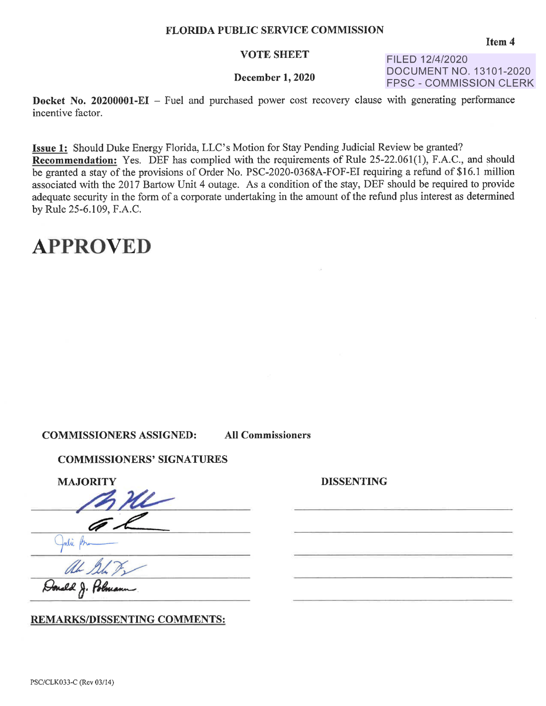#### **VOTE SHEET**

### **December 1, 2020**

FILED 12/4/2020 DOCUMENT NO. 13101-2020 FPSC - COMMISSION CLERK

**Docket No. 20200001-EI** – Fuel and purchased power cost recovery clause with generating performance incentive factor.

**Issue 1:** Should Duke Energy Florida, LLC's Motion for Stay Pending Judicial Review be granted? **Recommendation:** Yes. DEF has complied with the requirements of Rule 25-22.061(1), F.A.C., and should be granted a stay of the provisions of Order No. PSC-2020-0368A-FOF-EI requiring a refund of \$16.l million associated with the 2017 Bartow Unit 4 outage. As a condition of the stay, DEF should be required to provide adequate security in the form of a corporate undertaking in the amount of the refund plus interest as determined by Rule 25-6.109, F.A.C.

## **APPROVED**

**COMMISSIONERS ASSIGNED: All Commissioners** 

**DISSENTING** 

### **COMMISSIONERS' SIGNATURES**

**MAJORITY** 

ORITY

**REMARKS/DISSENTING COMMENTS:** 

**Item4**